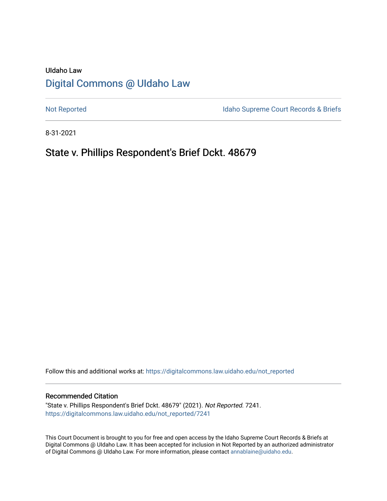# UIdaho Law [Digital Commons @ UIdaho Law](https://digitalcommons.law.uidaho.edu/)

[Not Reported](https://digitalcommons.law.uidaho.edu/not_reported) **Idaho Supreme Court Records & Briefs** 

8-31-2021

# State v. Phillips Respondent's Brief Dckt. 48679

Follow this and additional works at: [https://digitalcommons.law.uidaho.edu/not\\_reported](https://digitalcommons.law.uidaho.edu/not_reported?utm_source=digitalcommons.law.uidaho.edu%2Fnot_reported%2F7241&utm_medium=PDF&utm_campaign=PDFCoverPages) 

#### Recommended Citation

"State v. Phillips Respondent's Brief Dckt. 48679" (2021). Not Reported. 7241. [https://digitalcommons.law.uidaho.edu/not\\_reported/7241](https://digitalcommons.law.uidaho.edu/not_reported/7241?utm_source=digitalcommons.law.uidaho.edu%2Fnot_reported%2F7241&utm_medium=PDF&utm_campaign=PDFCoverPages)

This Court Document is brought to you for free and open access by the Idaho Supreme Court Records & Briefs at Digital Commons @ UIdaho Law. It has been accepted for inclusion in Not Reported by an authorized administrator of Digital Commons @ UIdaho Law. For more information, please contact [annablaine@uidaho.edu](mailto:annablaine@uidaho.edu).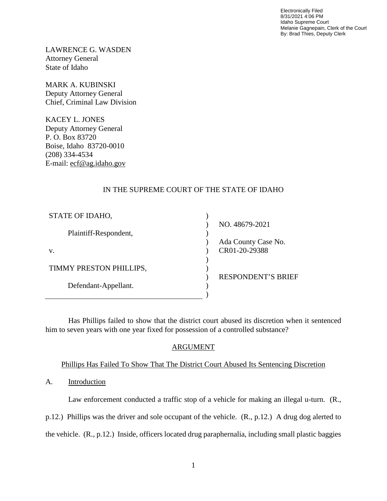Electronically Filed 8/31/2021 4:06 PM Idaho Supreme Court Melanie Gagnepain, Clerk of the Court By: Brad Thies, Deputy Clerk

LAWRENCE G. WASDEN Attorney General State of Idaho

MARK A. KUBINSKI Deputy Attorney General Chief, Criminal Law Division

KACEY L. JONES Deputy Attorney General P. O. Box 83720 Boise, Idaho 83720-0010 (208) 334-4534 E-mail: ecf@ag.idaho.gov

## IN THE SUPREME COURT OF THE STATE OF IDAHO

| STATE OF IDAHO,         |                           |
|-------------------------|---------------------------|
|                         | NO. 48679-2021            |
| Plaintiff-Respondent,   |                           |
|                         | Ada County Case No.       |
| V.                      | CR01-20-29388             |
|                         |                           |
| TIMMY PRESTON PHILLIPS, |                           |
|                         | <b>RESPONDENT'S BRIEF</b> |
| Defendant-Appellant.    |                           |
|                         |                           |

Has Phillips failed to show that the district court abused its discretion when it sentenced him to seven years with one year fixed for possession of a controlled substance?

## ARGUMENT

## Phillips Has Failed To Show That The District Court Abused Its Sentencing Discretion

A. Introduction

Law enforcement conducted a traffic stop of a vehicle for making an illegal u-turn. (R.,

p.12.) Phillips was the driver and sole occupant of the vehicle. (R., p.12.) A drug dog alerted to

the vehicle. (R., p.12.) Inside, officers located drug paraphernalia, including small plastic baggies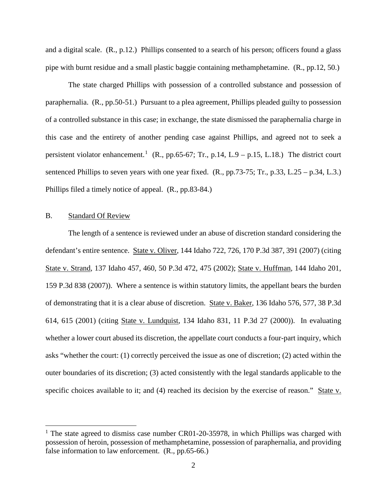and a digital scale. (R., p.12.) Phillips consented to a search of his person; officers found a glass pipe with burnt residue and a small plastic baggie containing methamphetamine. (R., pp.12, 50.)

The state charged Phillips with possession of a controlled substance and possession of paraphernalia. (R., pp.50-51.) Pursuant to a plea agreement, Phillips pleaded guilty to possession of a controlled substance in this case; in exchange, the state dismissed the paraphernalia charge in this case and the entirety of another pending case against Phillips, and agreed not to seek a persistent violator enhancement.<sup>[1](#page-2-0)</sup> (R., pp.65-67; Tr., p.14, L.9 – p.15, L.18.) The district court sentenced Phillips to seven years with one year fixed.  $(R., pp.73-75; Tr., p.33, L.25 - p.34, L.3.)$ Phillips filed a timely notice of appeal. (R., pp.83-84.)

### B. Standard Of Review

 $\overline{a}$ 

The length of a sentence is reviewed under an abuse of discretion standard considering the defendant's entire sentence. State v. Oliver, 144 Idaho 722, 726, 170 P.3d 387, 391 (2007) (citing State v. Strand, 137 Idaho 457, 460, 50 P.3d 472, 475 (2002); State v. Huffman, 144 Idaho 201, 159 P.3d 838 (2007)). Where a sentence is within statutory limits, the appellant bears the burden of demonstrating that it is a clear abuse of discretion. State v. Baker, 136 Idaho 576, 577, 38 P.3d 614, 615 (2001) (citing State v. Lundquist, 134 Idaho 831, 11 P.3d 27 (2000)). In evaluating whether a lower court abused its discretion, the appellate court conducts a four-part inquiry, which asks "whether the court: (1) correctly perceived the issue as one of discretion; (2) acted within the outer boundaries of its discretion; (3) acted consistently with the legal standards applicable to the specific choices available to it; and (4) reached its decision by the exercise of reason." State v.

<span id="page-2-0"></span><sup>&</sup>lt;sup>1</sup> The state agreed to dismiss case number CR01-20-35978, in which Phillips was charged with possession of heroin, possession of methamphetamine, possession of paraphernalia, and providing false information to law enforcement. (R., pp.65-66.)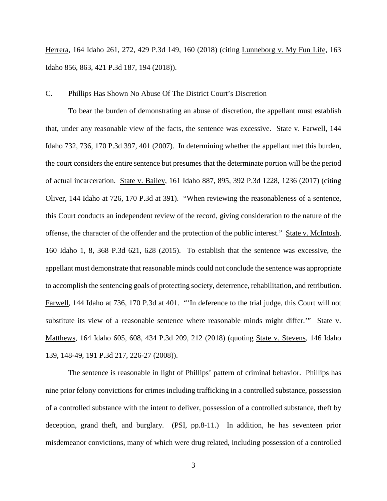Herrera, 164 Idaho 261, 272, 429 P.3d 149, 160 (2018) (citing Lunneborg v. My Fun Life, 163 Idaho 856, 863, 421 P.3d 187, 194 (2018)).

#### C. Phillips Has Shown No Abuse Of The District Court's Discretion

To bear the burden of demonstrating an abuse of discretion, the appellant must establish that, under any reasonable view of the facts, the sentence was excessive. State v. Farwell, 144 Idaho 732, 736, 170 P.3d 397, 401 (2007). In determining whether the appellant met this burden, the court considers the entire sentence but presumes that the determinate portion will be the period of actual incarceration. State v. Bailey, 161 Idaho 887, 895, 392 P.3d 1228, 1236 (2017) (citing Oliver, 144 Idaho at 726, 170 P.3d at 391). "When reviewing the reasonableness of a sentence, this Court conducts an independent review of the record, giving consideration to the nature of the offense, the character of the offender and the protection of the public interest." State v. McIntosh, 160 Idaho 1, 8, 368 P.3d 621, 628 (2015). To establish that the sentence was excessive, the appellant must demonstrate that reasonable minds could not conclude the sentence was appropriate to accomplish the sentencing goals of protecting society, deterrence, rehabilitation, and retribution. Farwell, 144 Idaho at 736, 170 P.3d at 401. "'In deference to the trial judge, this Court will not substitute its view of a reasonable sentence where reasonable minds might differ.'" State v. Matthews, 164 Idaho 605, 608, 434 P.3d 209, 212 (2018) (quoting State v. Stevens, 146 Idaho 139, 148-49, 191 P.3d 217, 226-27 (2008)).

The sentence is reasonable in light of Phillips' pattern of criminal behavior. Phillips has nine prior felony convictions for crimes including trafficking in a controlled substance, possession of a controlled substance with the intent to deliver, possession of a controlled substance, theft by deception, grand theft, and burglary. (PSI, pp.8-11.) In addition, he has seventeen prior misdemeanor convictions, many of which were drug related, including possession of a controlled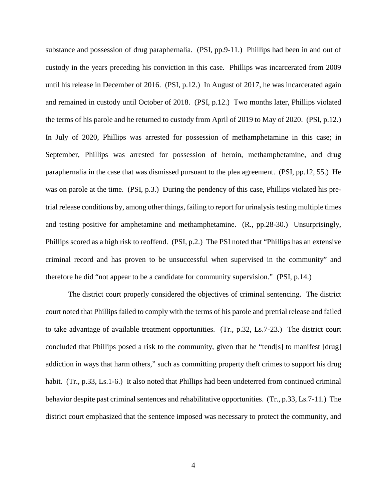substance and possession of drug paraphernalia. (PSI, pp.9-11.) Phillips had been in and out of custody in the years preceding his conviction in this case. Phillips was incarcerated from 2009 until his release in December of 2016. (PSI, p.12.) In August of 2017, he was incarcerated again and remained in custody until October of 2018. (PSI, p.12.) Two months later, Phillips violated the terms of his parole and he returned to custody from April of 2019 to May of 2020. (PSI, p.12.) In July of 2020, Phillips was arrested for possession of methamphetamine in this case; in September, Phillips was arrested for possession of heroin, methamphetamine, and drug paraphernalia in the case that was dismissed pursuant to the plea agreement. (PSI, pp.12, 55.) He was on parole at the time. (PSI, p.3.) During the pendency of this case, Phillips violated his pretrial release conditions by, among other things, failing to report for urinalysis testing multiple times and testing positive for amphetamine and methamphetamine. (R., pp.28-30.) Unsurprisingly, Phillips scored as a high risk to reoffend. (PSI, p.2.) The PSI noted that "Phillips has an extensive criminal record and has proven to be unsuccessful when supervised in the community" and therefore he did "not appear to be a candidate for community supervision." (PSI, p.14.)

The district court properly considered the objectives of criminal sentencing. The district court noted that Phillips failed to comply with the terms of his parole and pretrial release and failed to take advantage of available treatment opportunities. (Tr., p.32, Ls.7-23.) The district court concluded that Phillips posed a risk to the community, given that he "tend[s] to manifest [drug] addiction in ways that harm others," such as committing property theft crimes to support his drug habit. (Tr., p.33, Ls.1-6.) It also noted that Phillips had been undeterred from continued criminal behavior despite past criminal sentences and rehabilitative opportunities. (Tr., p.33, Ls.7-11.) The district court emphasized that the sentence imposed was necessary to protect the community, and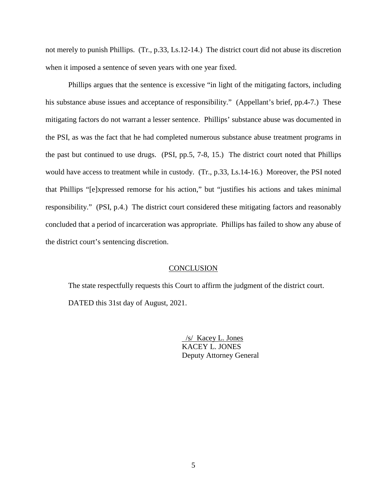not merely to punish Phillips. (Tr., p.33, Ls.12-14.) The district court did not abuse its discretion when it imposed a sentence of seven years with one year fixed.

Phillips argues that the sentence is excessive "in light of the mitigating factors, including his substance abuse issues and acceptance of responsibility." (Appellant's brief, pp.4-7.) These mitigating factors do not warrant a lesser sentence. Phillips' substance abuse was documented in the PSI, as was the fact that he had completed numerous substance abuse treatment programs in the past but continued to use drugs. (PSI, pp.5, 7-8, 15.) The district court noted that Phillips would have access to treatment while in custody. (Tr., p.33, Ls.14-16.) Moreover, the PSI noted that Phillips "[e]xpressed remorse for his action," but "justifies his actions and takes minimal responsibility." (PSI, p.4.) The district court considered these mitigating factors and reasonably concluded that a period of incarceration was appropriate. Phillips has failed to show any abuse of the district court's sentencing discretion.

#### **CONCLUSION**

The state respectfully requests this Court to affirm the judgment of the district court. DATED this 31st day of August, 2021.

> /s/ Kacey L. Jones KACEY L. JONES Deputy Attorney General